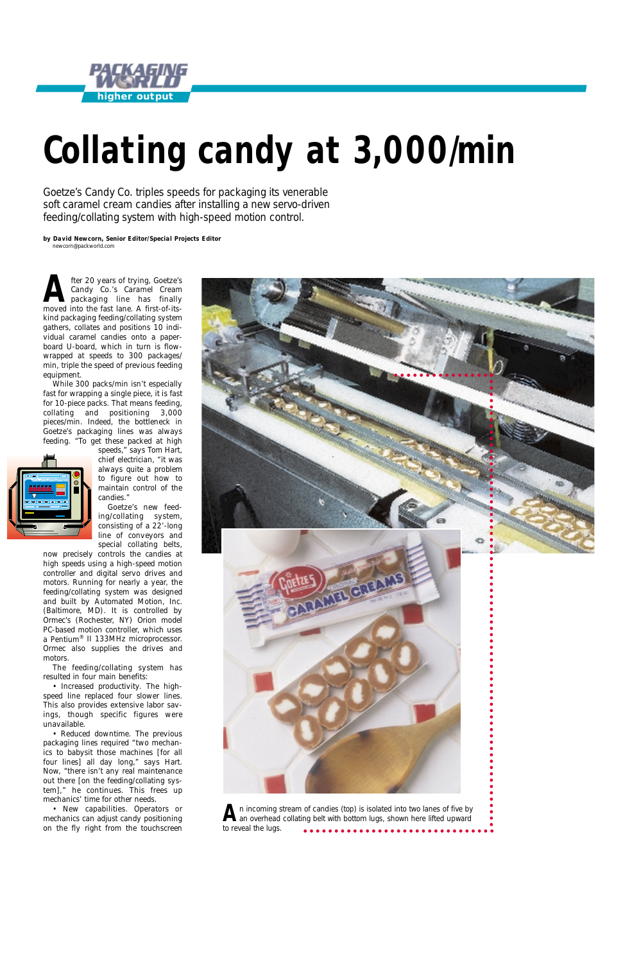# *Collating candy at 3,000/min*

*Goetze's Candy Co. triples speeds for packaging its venerable soft caramel cream candies after installing a new servo-driven feeding/collating system with high-speed motion control.*

*by David Newcorn, Senior Editor/Special Projects Editor* newcorn@packworld.com





**A** fter 20 years of trying, Goetze's<br>
Candy Co.'s Caramel Cream<br>
packaging line has finally Candy Co.'s Caramel Cream packaging line has finally moved into the fast lane. A first-of-itskind packaging feeding/collating system gathers, collates and positions 10 individual caramel candies onto a paperboard U-board, which in turn is flowwrapped at speeds to 300 packages/ min, triple the speed of previous feeding equipment.

While 300 packs/min isn't especially fast for wrapping a single piece, it *is* fast for 10-piece packs. That means feeding, collating and positioning 3,000 pieces/min. Indeed, the bottleneck in Goetze's packaging lines was always feeding. "To get these packed at high



speeds," says Tom Hart, chief electrician, "it was always quite a problem to figure out how to maintain control of the candies."

Goetze's new feeding/collating system, consisting of a 22'-long line of conveyors and special collating belts,

now precisely controls the candies at high speeds using a high-speed motion controller and digital servo drives and motors. Running for nearly a year, the feeding/collating system was designed and built by Automated Motion, Inc. (Baltimore, MD). It is controlled by Ormec's (Rochester, NY) Orion model PC-based motion controller, which uses a Pentium® II 133MHz microprocessor. Ormec also supplies the drives and motors.

The feeding/collating system has resulted in four main benefits:

• Increased productivity. The highspeed line replaced four slower lines. This also provides extensive labor sav-

ings, though specific figures were unavailable.

• Reduced downtime. The previous packaging lines required "two mechanics to babysit those machines [for all four lines] all day long," says Hart. Now, "there isn't any real maintenance out there [on the feeding/collating system]," he continues. This frees up mechanics' time for other needs.

• New capabilities. Operators or mechanics can adjust candy positioning on the fly right from the touchscreen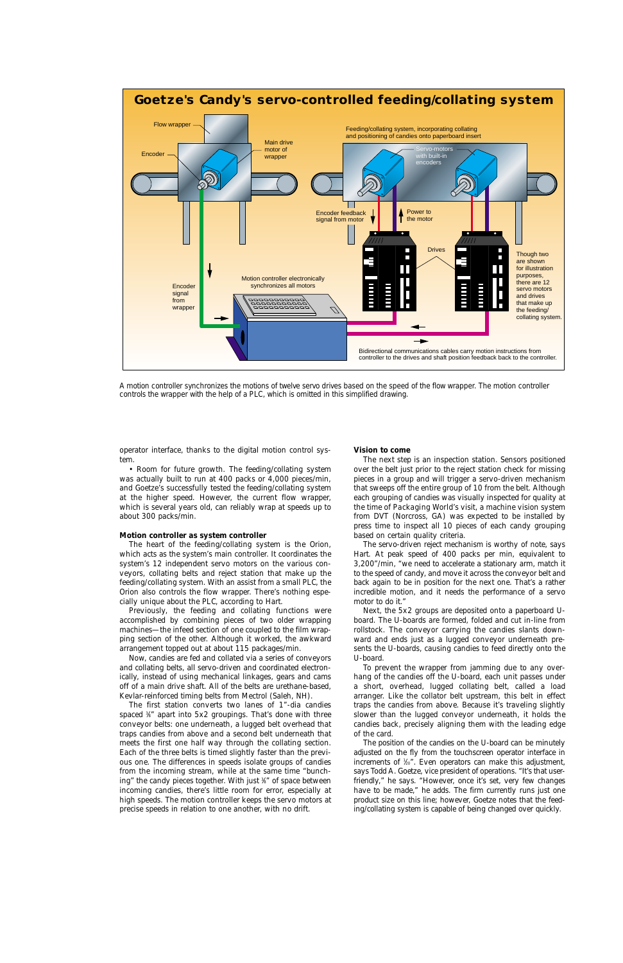

*A motion controller synchronizes the motions of twelve servo drives based on the speed of the flow wrapper. The motion controller controls the wrapper with the help of a PLC, which is omitted in this simplified drawing.*

operator interface, thanks to the digital motion control system.

• Room for future growth. The feeding/collating system was actually built to run at 400 packs or 4,000 pieces/min, and Goetze's successfully tested the feeding/collating system at the higher speed. However, the current flow wrapper, which is several years old, can reliably wrap at speeds up to about 300 packs/min.

#### **Motion controller as system controller**

spaced %" apart into 5x2 groupings. That's done with three conveyor belts: one underneath, a lugged belt overhead that traps candies from above and a second belt underneath that meets the first one half way through the collating section. Each of the three belts is timed slightly faster than the previous one. The differences in speeds isolate groups of candies from the incoming stream, while at the same time "bunching" the candy pieces together. With just ¾" of space between incoming candies, there's little room for error, especially at high speeds. The motion controller keeps the servo motors at precise speeds in relation to one another, with no drift.

The heart of the feeding/collating system is the Orion, which acts as the system's main controller. It coordinates the system's 12 independent servo motors on the various conveyors, collating belts and reject station that make up the feeding/collating system. With an assist from a small PLC, the Orion also controls the flow wrapper. There's nothing especially unique about the PLC, according to Hart.

Previously, the feeding and collating functions were accomplished by combining pieces of two older wrapping machines—the infeed section of one coupled to the film wrapping section of the other. Although it worked, the awkward arrangement topped out at about 115 packages/min.

Now, candies are fed and collated via a series of conveyors and collating belts, all servo-driven and coordinated electronically, instead of using mechanical linkages, gears and cams off of a main drive shaft. All of the belts are urethane-based, Kevlar-reinforced timing belts from Mectrol (Saleh, NH).

The first station converts two lanes of 1"-dia candies

#### **Vision to come**

The next step is an inspection station. Sensors positioned over the belt just prior to the reject station check for missing pieces in a group and will trigger a servo-driven mechanism that sweeps off the entire group of 10 from the belt. Although each grouping of candies was visually inspected for quality at the time of *Packaging World*'s visit, a machine vision system from DVT (Norcross, GA) was expected to be installed by press time to inspect all 10 pieces of each candy grouping based on certain quality criteria.

The servo-driven reject mechanism is worthy of note, says Hart. At peak speed of 400 packs per min, equivalent to 3,200"/min, "we need to accelerate a stationary arm, match it to the speed of candy, and move it across the conveyor belt and back again to be in position for the next one. That's a rather incredible motion, and it needs the performance of a servo motor to do it."

Next, the 5x2 groups are deposited onto a paperboard Uboard. The U-boards are formed, folded and cut in-line from rollstock. The conveyor carrying the candies slants downward and ends just as a lugged conveyor underneath presents the U-boards, causing candies to feed directly onto the U-board.

To prevent the wrapper from jamming due to any overhang of the candies off the U-board, each unit passes under a short, overhead, lugged collating belt, called a load arranger. Like the collator belt upstream, this belt in effect traps the candies from above. Because it's traveling slightly slower than the lugged conveyor underneath, it holds the candies back, precisely aligning them with the leading edge of the card. The position of the candies on the U-board can be minutely adjusted on the fly from the touchscreen operator interface in increments of ½°. Even operators can make this adjustment, says Todd A. Goetze, vice president of operations. "It's that userfriendly," he says. "However, once it's set, very few changes have to be made," he adds. The firm currently runs just one product size on this line; however, Goetze notes that the feeding/collating system is capable of being changed over quickly.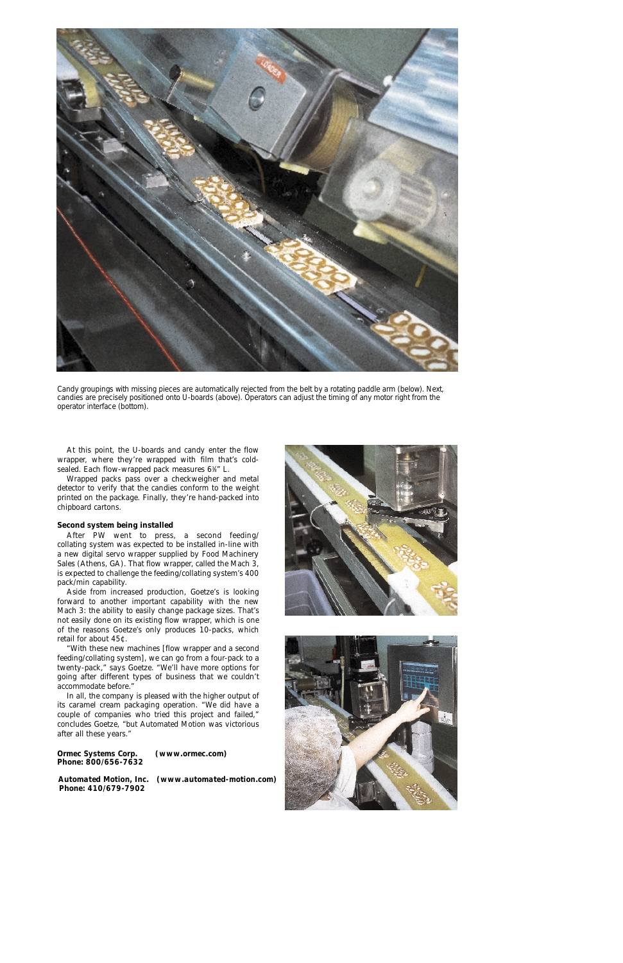

*Candy groupings with missing pieces are automatically rejected from the belt by a rotating paddle arm (below). Next, candies are precisely positioned onto U-boards (above). Operators can adjust the timing of any motor right from the operator interface (bottom).* 

At this point, the U-boards and candy enter the flow wrapper, where they're wrapped with film that's coldsealed. Each flow-wrapped pack measures 63 ⁄8" L.

Wrapped packs pass over a checkweigher and metal detector to verify that the candies conform to the weight printed on the package. Finally, they're hand-packed into chipboard cartons.

#### **Second system being installed**

After *PW* went to press, a second feeding/ collating system was expected to be installed in-line with a new digital servo wrapper supplied by Food Machinery Sales (Athens, GA). That flow wrapper, called the Mach 3, is expected to challenge the feeding/collating system's 400 pack/min capability.

Aside from increased production, Goetze's is looking forward to another important capability with the new Mach 3: the ability to easily change package sizes. That's not easily done on its existing flow wrapper, which is one of the reasons Goetze's only produces 10-packs, which retail for about 45¢.

"With these new machines [flow wrapper and a second feeding/collating system], we can go from a four-pack to a twenty-pack," says Goetze. "We'll have more options for going after different types of business that we couldn't accommodate before."

In all, the company is pleased with the higher output of its caramel cream packaging operation. "We did have a couple of companies who tried this project and failed," concludes Goetze, "but Automated Motion was victorious after all these years."





### *Ormec Systems Corp. (www.ormec.com) Phone: 800/656-7632*

*Automated Motion, Inc. (www.automated-motion.com)*

*Phone: 410/679-7902*